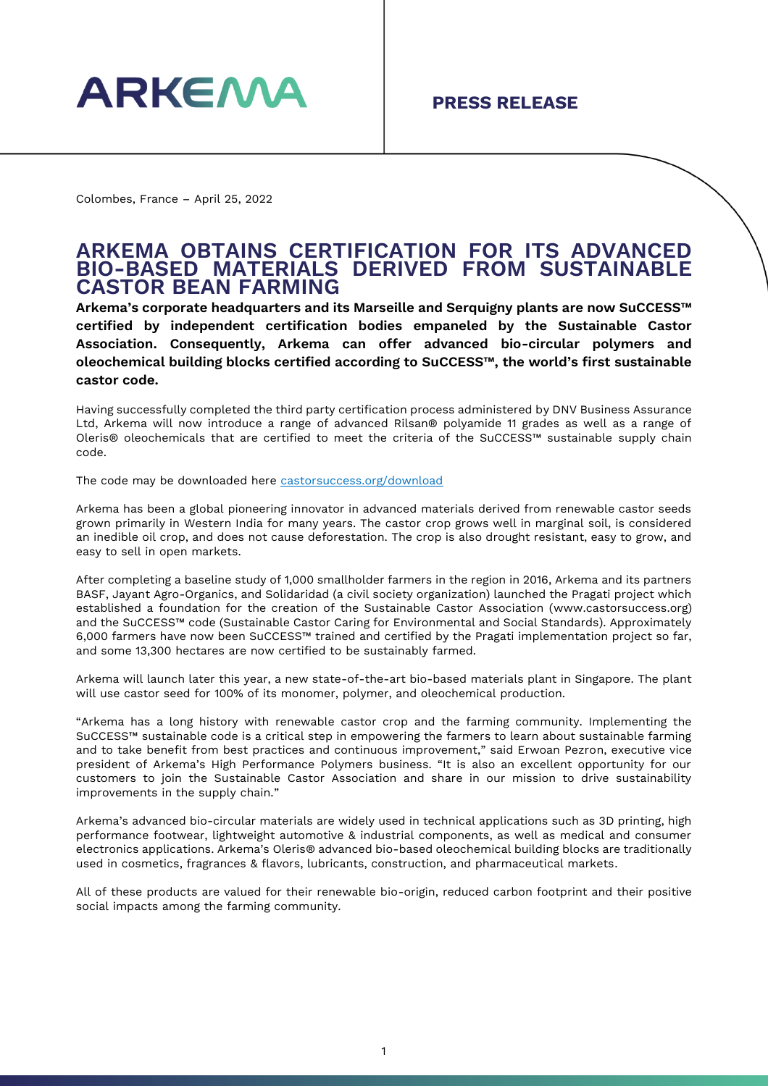

Colombes, France – April 25, 2022

## **ARKEMA OBTAINS CERTIFICATION FOR ITS ADVANCED BIO-BASED MATERIALS DERIVED FROM SUSTAINABLE CASTOR BEAN FARMING**

**Arkema's corporate headquarters and its Marseille and Serquigny plants are now SuCCESS™ certified by independent certification bodies empaneled by the Sustainable Castor Association. Consequently, Arkema can offer advanced bio-circular polymers and oleochemical building blocks certified according to SuCCESS™, the world's first sustainable castor code.** 

Having successfully completed the third party certification process administered by DNV Business Assurance Ltd, Arkema will now introduce a range of advanced Rilsan® polyamide 11 grades as well as a range of Oleris® oleochemicals that are certified to meet the criteria of the SuCCESS™ sustainable supply chain code.

The code may be downloaded here castorsuccess.org/download

Arkema has been a global pioneering innovator in advanced materials derived from renewable castor seeds grown primarily in Western India for many years. The castor crop grows well in marginal soil, is considered an inedible oil crop, and does not cause deforestation. The crop is also drought resistant, easy to grow, and easy to sell in open markets.

After completing a baseline study of 1,000 smallholder farmers in the region in 2016, Arkema and its partners BASF, Jayant Agro-Organics, and Solidaridad (a civil society organization) launched the Pragati project which established a foundation for the creation of the Sustainable Castor Association [\(www.castorsuccess.org\)](http://www.castorsuccess.org/) and the SuCCESS™ code (Sustainable Castor Caring for Environmental and Social Standards). Approximately 6,000 farmers have now been SuCCESS™ trained and certified by the Pragati implementation project so far, and some 13,300 hectares are now certified to be sustainably farmed.

Arkema will launch later this year, a new state-of-the-art bio-based materials plant in Singapore. The plant will use castor seed for 100% of its monomer, polymer, and oleochemical production.

"Arkema has a long history with renewable castor crop and the farming community. Implementing the SuCCESS™ sustainable code is a critical step in empowering the farmers to learn about sustainable farming and to take benefit from best practices and continuous improvement," said Erwoan Pezron, executive vice president of Arkema's High Performance Polymers business. "It is also an excellent opportunity for our customers to join the Sustainable Castor Association and share in our mission to drive sustainability improvements in the supply chain."

Arkema's advanced bio-circular materials are widely used in technical applications such as 3D printing, high performance footwear, lightweight automotive & industrial components, as well as medical and consumer electronics applications. Arkema's Oleris® advanced bio-based oleochemical building blocks are traditionally used in cosmetics, fragrances & flavors, lubricants, construction, and pharmaceutical markets.

All of these products are valued for their renewable bio-origin, reduced carbon footprint and their positive social impacts among the farming community.